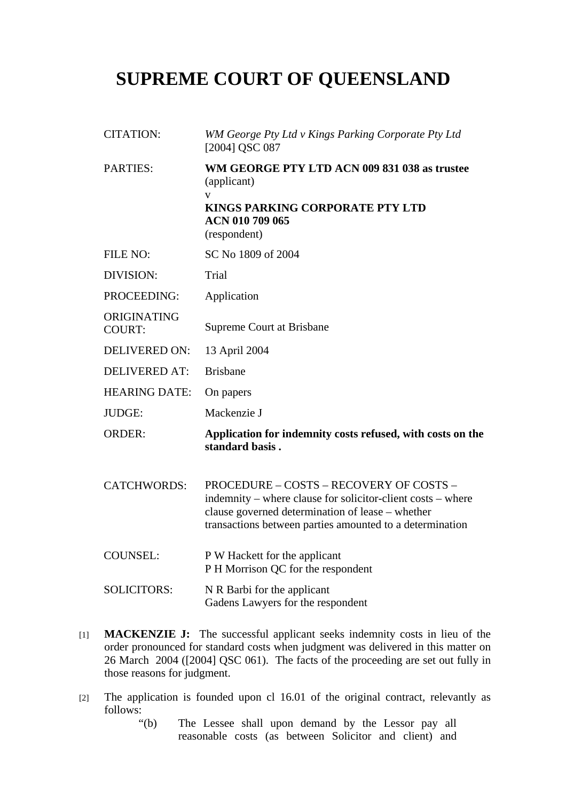## **SUPREME COURT OF QUEENSLAND**

| <b>CITATION:</b>             | WM George Pty Ltd v Kings Parking Corporate Pty Ltd<br>[2004] QSC 087                                                                                                                                                  |
|------------------------------|------------------------------------------------------------------------------------------------------------------------------------------------------------------------------------------------------------------------|
| <b>PARTIES:</b>              | WM GEORGE PTY LTD ACN 009 831 038 as trustee<br>(applicant)<br>V<br>KINGS PARKING CORPORATE PTY LTD<br>ACN 010 709 065<br>(respondent)                                                                                 |
| FILE NO:                     | SC No 1809 of 2004                                                                                                                                                                                                     |
| DIVISION:                    | Trial                                                                                                                                                                                                                  |
| PROCEEDING:                  | Application                                                                                                                                                                                                            |
| ORIGINATING<br><b>COURT:</b> | <b>Supreme Court at Brisbane</b>                                                                                                                                                                                       |
| DELIVERED ON:                | 13 April 2004                                                                                                                                                                                                          |
| <b>DELIVERED AT:</b>         | <b>Brisbane</b>                                                                                                                                                                                                        |
| <b>HEARING DATE:</b>         | On papers                                                                                                                                                                                                              |
| <b>JUDGE:</b>                | Mackenzie J                                                                                                                                                                                                            |
| <b>ORDER:</b>                | Application for indemnity costs refused, with costs on the<br>standard basis.                                                                                                                                          |
| <b>CATCHWORDS:</b>           | PROCEDURE - COSTS - RECOVERY OF COSTS -<br>indemnity – where clause for solicitor-client costs – where<br>clause governed determination of lease – whether<br>transactions between parties amounted to a determination |
| <b>COUNSEL:</b>              | P W Hackett for the applicant<br>P H Morrison QC for the respondent                                                                                                                                                    |
| <b>SOLICITORS:</b>           | N R Barbi for the applicant<br>Gadens Lawyers for the respondent                                                                                                                                                       |

- [1] **MACKENZIE J:** The successful applicant seeks indemnity costs in lieu of the order pronounced for standard costs when judgment was delivered in this matter on 26 March 2004 ([2004] QSC 061). The facts of the proceeding are set out fully in those reasons for judgment.
- [2] The application is founded upon cl 16.01 of the original contract, relevantly as follows:

"(b) The Lessee shall upon demand by the Lessor pay all reasonable costs (as between Solicitor and client) and